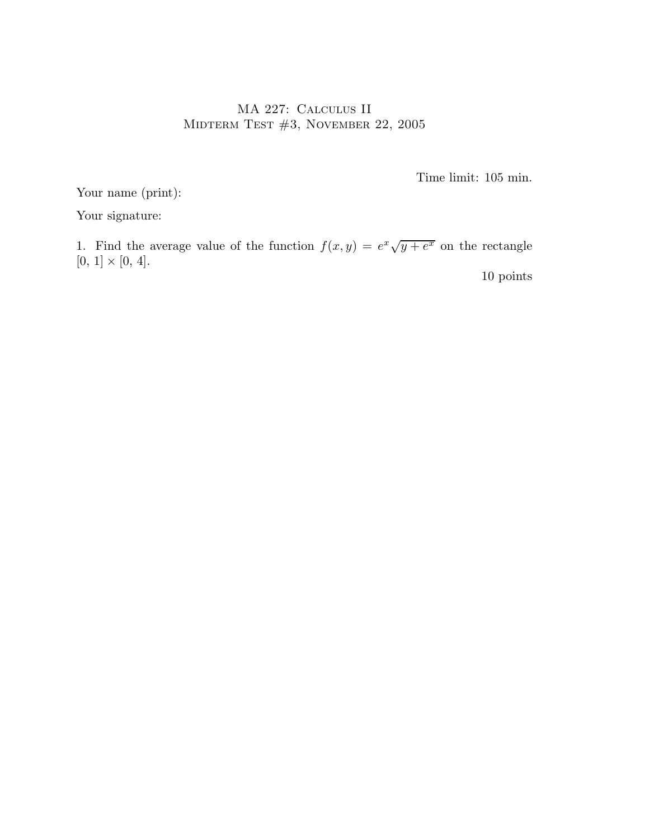## MA 227: Calculus II MIDTERM TEST #3, NOVEMBER 22, 2005

Time limit: 105 min.

Your name (print):

Your signature:

1. Find the average value of the function  $f(x,y) = e^x \sqrt{y+e^x}$  on the rectangle  $[0, 1] \times [0, 4].$ 

10 points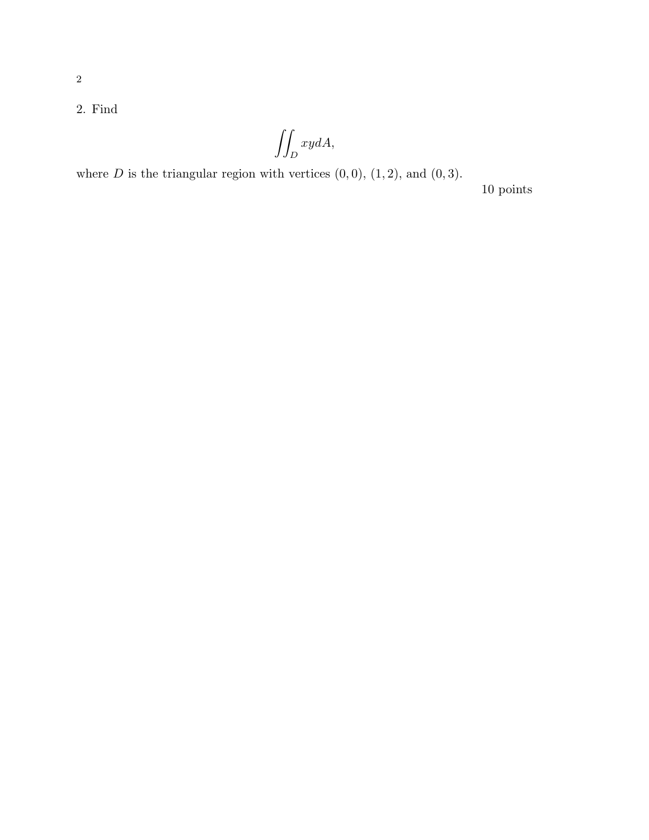2. Find

$$
\iint_D xydA,
$$

where  $D$  is the triangular region with vertices  $(0, 0)$ ,  $(1, 2)$ , and  $(0, 3)$ .

10 points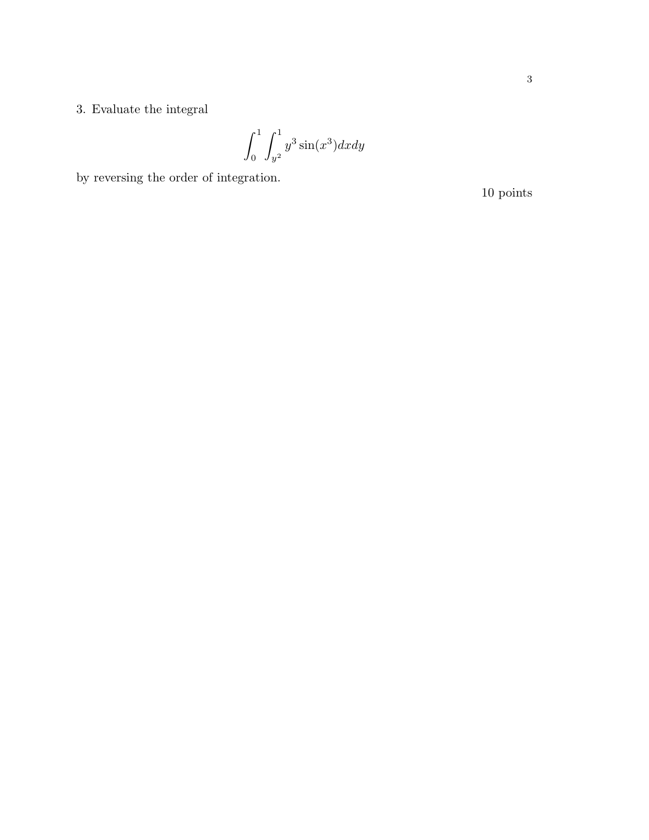$\int_0^1 \int_{y^2}^1 y^3 \sin(x^3) dx dy$ 

by reversing the order of integration.  $\;$ 

 $10\,\,\mathrm{points}$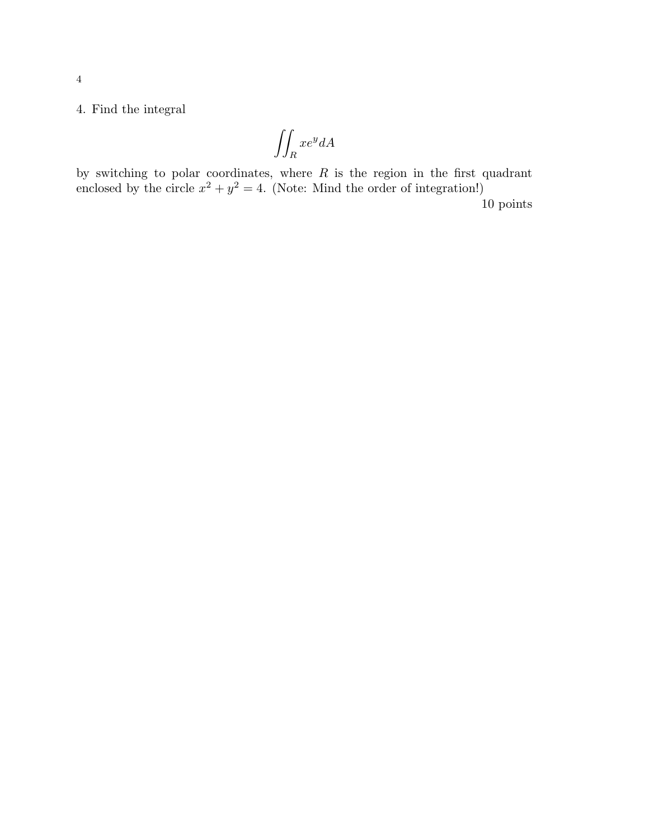4. Find the integral

$$
\iint_{R} xe^{y} dA
$$

by switching to polar coordinates, where  $R$  is the region in the first quadrant enclosed by the circle  $x^2 + y^2 = 4$ . (Note: Mind the order of integration!) 10 points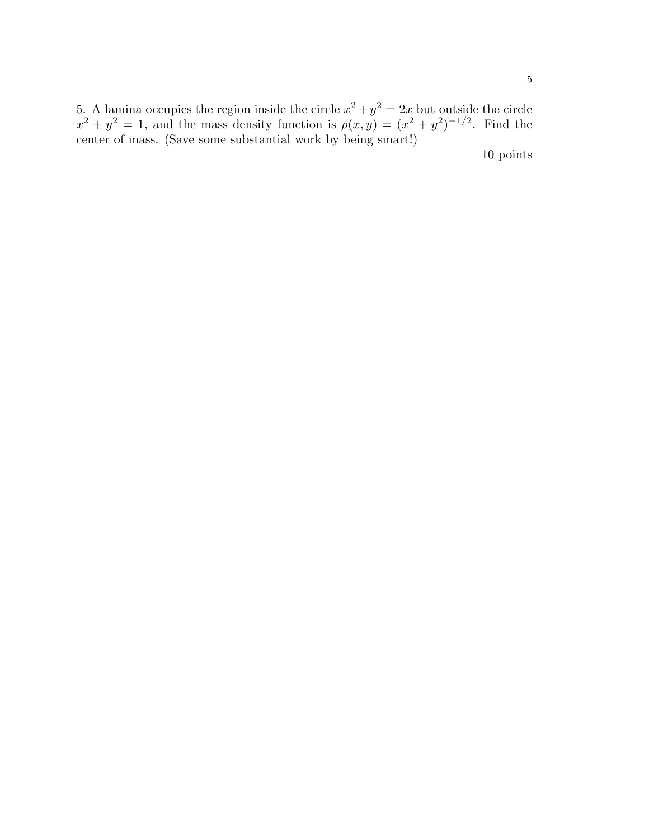5. A lamina occupies the region inside the circle  $x^2 + y^2 = 2x$  but outside the circle  $x^2 + y^2 = 1$ , and the mass density function is  $\rho(x, y) = (x^2 + y^2)^{-1/2}$ . Find the center of mass. (Save some substantial work by being smart!)

10 points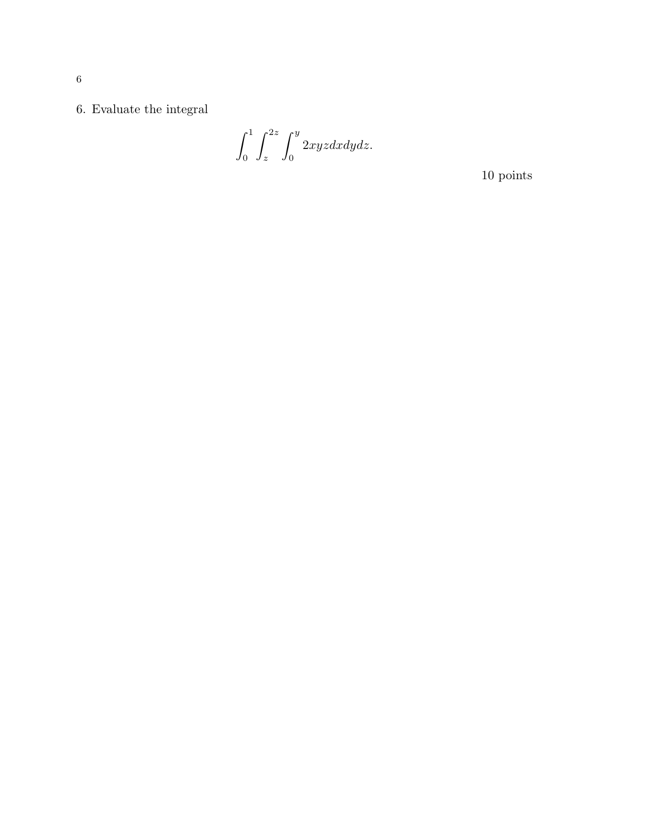$6.$  Evaluate the integral  $\,$ 

 $\int_0^1 \int_z^{2z} \int_0^y 2xyz dx dy dz.$ 

 $10\,\,\mathrm{points}$